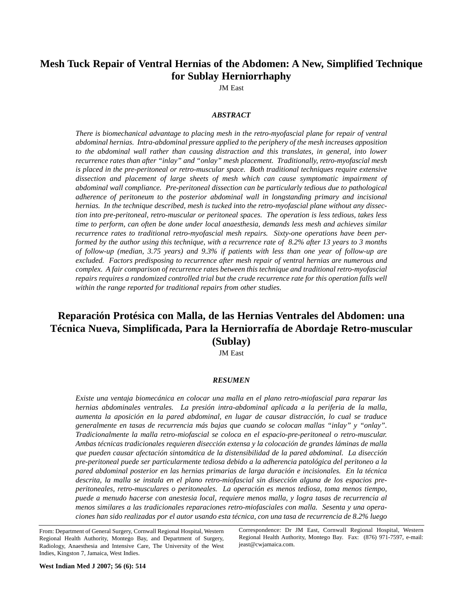## **Mesh Tuck Repair of Ventral Hernias of the Abdomen: A New, Simplified Technique for Sublay Herniorrhaphy**

JM East

## *ABSTRACT*

*There is biomechanical advantage to placing mesh in the retro-myofascial plane for repair of ventral abdominal hernias. Intra-abdominal pressure applied to the periphery of the mesh increases apposition to the abdominal wall rather than causing distraction and this translates, in general, into lower recurrence rates than after "inlay" and "onlay" mesh placement. Traditionally, retro-myofascial mesh is placed in the pre-peritoneal or retro-muscular space. Both traditional techniques require extensive dissection and placement of large sheets of mesh which can cause symptomatic impairment of abdominal wall compliance. Pre-peritoneal dissection can be particularly tedious due to pathological adherence of peritoneum to the posterior abdominal wall in longstanding primary and incisional hernias. In the technique described, mesh is tucked into the retro-myofascial plane without any dissection into pre-peritoneal, retro-muscular or peritoneal spaces. The operation is less tedious, takes less time to perform, can often be done under local anaesthesia, demands less mesh and achieves similar recurrence rates to traditional retro-myofascial mesh repairs. Sixty-one operations have been performed by the author using this technique, with a recurrence rate of 8.2% after 13 years to 3 months of follow-up (median, 3.75 years) and 9.3% if patients with less than one year of follow-up are excluded. Factors predisposing to recurrence after mesh repair of ventral hernias are numerous and complex. A fair comparison of recurrence rates between this technique and traditional retro-myofascial repairs requires a randomized controlled trial but the crude recurrence rate for this operation falls well within the range reported for traditional repairs from other studies.* 

# **Reparación Protésica con Malla, de las Hernias Ventrales del Abdomen: una Técnica Nueva, Simplificada, Para la Herniorrafía de Abordaje Retro-muscular (Sublay)**

JM East

#### *RESUMEN*

*Existe una ventaja biomecánica en colocar una malla en el plano retro-miofascial para reparar las hernias abdominales ventrales. La presión intra-abdominal aplicada a la periferia de la malla, aumenta la aposición en la pared abdominal, en lugar de causar distracción, lo cual se traduce generalmente en tasas de recurrencia más bajas que cuando se colocan mallas "inlay" y "onlay". Tradicionalmente la malla retro-miofascial se coloca en el espacio-pre-peritoneal o retro-muscular. Ambas técnicas tradicionales requieren disección extensa y la colocación de grandes láminas de malla que pueden causar afectación sintomática de la distensibilidad de la pared abdominal. La disección pre-peritoneal puede ser particularmente tediosa debido a la adherencia patológica del peritoneo a la pared abdominal posterior en las hernias primarias de larga duración e incisionales. En la técnica descrita, la malla se instala en el plano retro-miofascial sin disección alguna de los espacios preperitoneales, retro-musculares o peritoneales. La operación es menos tediosa, toma menos tiempo, puede a menudo hacerse con anestesia local, requiere menos malla, y logra tasas de recurrencia al menos similares a las tradicionales reparaciones retro-miofasciales con malla. Sesenta y una operaciones han sido realizadas por el autor usando esta técnica, con una tasa de recurrencia de 8.2% luego*

From: Department of General Surgery, Cornwall Regional Hospital, Western Regional Health Authority, Montego Bay, and Department of Surgery, Radiology, Anaesthesia and Intensive Care, The University of the West Indies, Kingston 7, Jamaica, West Indies.

Correspondence: Dr JM East, Cornwall Regional Hospital, Western Regional Health Authority, Montego Bay. Fax: (876) 971-7597, e-mail: jeast@cwjamaica.com.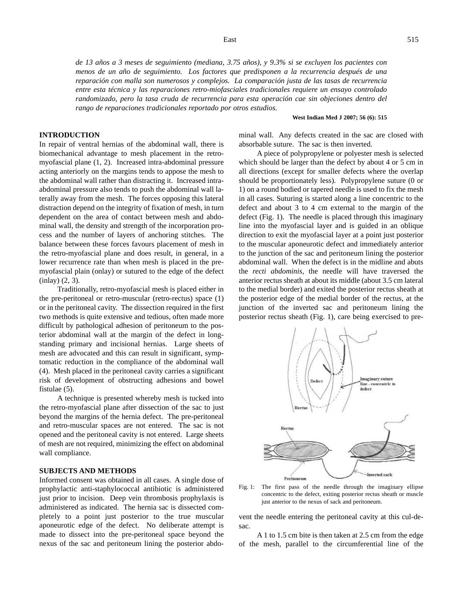*de 13 años a 3 meses de seguimiento (mediana, 3.75 años), y 9.3% si se excluyen los pacientes con menos de un año de seguimiento. Los factores que predisponen a la recurrencia después de una reparación con malla son numerosos y complejos. La comparación justa de las tasas de recurrencia entre esta técnica y las reparaciones retro-miofasciales tradicionales requiere un ensayo controlado randomizado, pero la tasa cruda de recurrencia para esta operación cae sin objeciones dentro del rango de reparaciones tradicionales reportado por otros estudios.*

#### **West Indian Med J 2007; 56 (6): 515**

#### **INTRODUCTION**

In repair of ventral hernias of the abdominal wall, there is biomechanical advantage to mesh placement in the retromyofascial plane (1, 2). Increased intra-abdominal pressure acting anteriorly on the margins tends to appose the mesh to the abdominal wall rather than distracting it. Increased intraabdominal pressure also tends to push the abdominal wall laterally away from the mesh. The forces opposing this lateral distraction depend on the integrity of fixation of mesh, in turn dependent on the area of contact between mesh and abdominal wall, the density and strength of the incorporation process and the number of layers of anchoring stitches. The balance between these forces favours placement of mesh in the retro-myofascial plane and does result, in general, in a lower recurrence rate than when mesh is placed in the premyofascial plain (onlay) or sutured to the edge of the defect (inlay) (2, 3).

Traditionally, retro-myofascial mesh is placed either in the pre-peritoneal or retro-muscular (retro-rectus) space (1) or in the peritoneal cavity. The dissection required in the first two methods is quite extensive and tedious, often made more difficult by pathological adhesion of peritoneum to the posterior abdominal wall at the margin of the defect in longstanding primary and incisional hernias. Large sheets of mesh are advocated and this can result in significant, symptomatic reduction in the compliance of the abdominal wall (4). Mesh placed in the peritoneal cavity carries a significant risk of development of obstructing adhesions and bowel fistulae (5).

A technique is presented whereby mesh is tucked into the retro-myofascial plane after dissection of the sac to just beyond the margins of the hernia defect. The pre-peritoneal and retro-muscular spaces are not entered. The sac is not opened and the peritoneal cavity is not entered. Large sheets of mesh are not required, minimizing the effect on abdominal wall compliance.

#### **SUBJECTS AND METHODS**

Informed consent was obtained in all cases. A single dose of prophylactic anti-staphylococcal antibiotic is administered just prior to incision. Deep vein thrombosis prophylaxis is administered as indicated. The hernia sac is dissected completely to a point just posterior to the true muscular aponeurotic edge of the defect. No deliberate attempt is made to dissect into the pre-peritoneal space beyond the nexus of the sac and peritoneum lining the posterior abdominal wall. Any defects created in the sac are closed with absorbable suture. The sac is then inverted.

A piece of polypropylene or polyester mesh is selected which should be larger than the defect by about 4 or 5 cm in all directions (except for smaller defects where the overlap should be proportionately less). Polypropylene suture (0 or 1) on a round bodied or tapered needle is used to fix the mesh in all cases. Suturing is started along a line concentric to the defect and about 3 to 4 cm external to the margin of the defect (Fig. 1). The needle is placed through this imaginary line into the myofascial layer and is guided in an oblique direction to exit the myofascial layer at a point just posterior to the muscular aponeurotic defect and immediately anterior to the junction of the sac and peritoneum lining the posterior abdominal wall. When the defect is in the midline and abuts the *recti abdominis*, the needle will have traversed the anterior rectus sheath at about its middle (about 3.5 cm lateral to the medial border) and exited the posterior rectus sheath at the posterior edge of the medial border of the rectus, at the junction of the inverted sac and peritoneum lining the posterior rectus sheath (Fig. 1), care being exercised to pre-



Fig. 1: The first pass of the needle through the imaginary ellipse concentric to the defect, exiting posterior rectus sheath or muscle just anterior to the nexus of sack and peritoneum.

vent the needle entering the peritoneal cavity at this cul-desac.

A 1 to 1.5 cm bite is then taken at 2.5 cm from the edge of the mesh, parallel to the circumferential line of the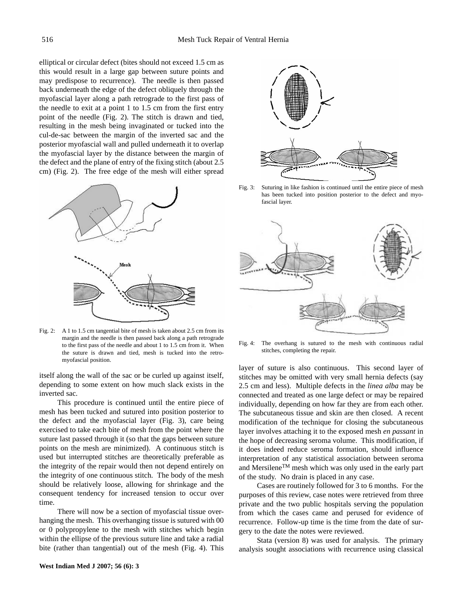elliptical or circular defect (bites should not exceed 1.5 cm as this would result in a large gap between suture points and may predispose to recurrence). The needle is then passed back underneath the edge of the defect obliquely through the myofascial layer along a path retrograde to the first pass of the needle to exit at a point 1 to 1.5 cm from the first entry point of the needle (Fig. 2). The stitch is drawn and tied, resulting in the mesh being invaginated or tucked into the cul-de-sac between the margin of the inverted sac and the posterior myofascial wall and pulled underneath it to overlap the myofascial layer by the distance between the margin of the defect and the plane of entry of the fixing stitch (about 2.5 cm) (Fig. 2). The free edge of the mesh will either spread



Fig. 2: A 1 to 1.5 cm tangential bite of mesh is taken about 2.5 cm from its margin and the needle is then passed back along a path retrograde to the first pass of the needle and about 1 to 1.5 cm from it. When the suture is drawn and tied, mesh is tucked into the retromyofascial position.

itself along the wall of the sac or be curled up against itself, depending to some extent on how much slack exists in the inverted sac.

This procedure is continued until the entire piece of mesh has been tucked and sutured into position posterior to the defect and the myofascial layer (Fig. 3), care being exercised to take each bite of mesh from the point where the suture last passed through it (so that the gaps between suture points on the mesh are minimized). A continuous stitch is used but interrupted stitches are theoretically preferable as the integrity of the repair would then not depend entirely on the integrity of one continuous stitch. The body of the mesh should be relatively loose, allowing for shrinkage and the consequent tendency for increased tension to occur over time.

There will now be a section of myofascial tissue overhanging the mesh. This overhanging tissue is sutured with 00 or 0 polypropylene to the mesh with stitches which begin within the ellipse of the previous suture line and take a radial bite (rather than tangential) out of the mesh (Fig. 4). This





Fig. 3: Suturing in like fashion is continued until the entire piece of mesh has been tucked into position posterior to the defect and myofascial layer.



Fig. 4: The overhang is sutured to the mesh with continuous radial stitches, completing the repair.

layer of suture is also continuous. This second layer of stitches may be omitted with very small hernia defects (say 2.5 cm and less). Multiple defects in the *linea alba* may be connected and treated as one large defect or may be repaired individually, depending on how far they are from each other. The subcutaneous tissue and skin are then closed. A recent modification of the technique for closing the subcutaneous layer involves attaching it to the exposed mesh *en passant* in the hope of decreasing seroma volume. This modification, if it does indeed reduce seroma formation, should influence interpretation of any statistical association between seroma and MersileneTM mesh which was only used in the early part of the study. No drain is placed in any case.

Cases are routinely followed for 3 to 6 months. For the purposes of this review, case notes were retrieved from three private and the two public hospitals serving the population from which the cases came and perused for evidence of recurrence. Follow-up time is the time from the date of surgery to the date the notes were reviewed.

Stata (version 8) was used for analysis. The primary analysis sought associations with recurrence using classical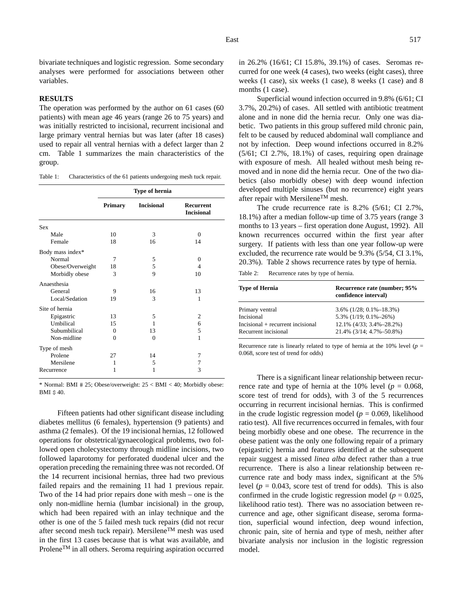bivariate techniques and logistic regression. Some secondary analyses were performed for associations between other variables.

## **RESULTS**

The operation was performed by the author on 61 cases (60 patients) with mean age 46 years (range 26 to 75 years) and was initially restricted to incisional, recurrent incisional and large primary ventral hernias but was later (after 18 cases) used to repair all ventral hernias with a defect larger than 2 cm. Table 1 summarizes the main characteristics of the group.

Table 1: Characteristics of the 61 patients undergoing mesh tuck repair.

|                  | Type of hernia |                   |                                |
|------------------|----------------|-------------------|--------------------------------|
|                  | <b>Primary</b> | <b>Incisional</b> | Recurrent<br><b>Incisional</b> |
| <b>Sex</b>       |                |                   |                                |
| Male             | 10             | 3                 | $\Omega$                       |
| Female           | 18             | 16                | 14                             |
| Body mass index* |                |                   |                                |
| Normal           | 7              | 5                 | $\Omega$                       |
| Obese/Overweight | 18             | 5                 | 4                              |
| Morbidly obese   | 3              | 9                 | 10                             |
| Anaesthesia      |                |                   |                                |
| General          | 9              | 16                | 13                             |
| Local/Sedation   | 19             | 3                 | 1                              |
| Site of hernia   |                |                   |                                |
| Epigastric       | 13             | 5                 | $\overline{c}$                 |
| Umbilical        | 15             | 1                 | 6                              |
| Subumbilical     | $\Omega$       | 13                | 5                              |
| Non-midline      | $\theta$       | $\theta$          | 1                              |
| Type of mesh     |                |                   |                                |
| Prolene          | 27             | 14                | 7                              |
| Mersilene        | 1              | 5                 | 7                              |
| Recurrence       | 1              | 1                 | 3                              |

\* Normal: BMI # 25; Obese/overweight: 25 < BMI < 40; Morbidly obese: BMI \$ 40.

Fifteen patients had other significant disease including diabetes mellitus (6 females), hypertension (9 patients) and asthma (2 females). Of the 19 incisional hernias, 12 followed operations for obstetrical/gynaecological problems, two followed open cholecystectomy through midline incisions, two followed laparotomy for perforated duodenal ulcer and the operation preceding the remaining three was not recorded. Of the 14 recurrent incisional hernias, three had two previous failed repairs and the remaining 11 had 1 previous repair. Two of the 14 had prior repairs done with mesh – one is the only non-midline hernia (lumbar incisional) in the group, which had been repaired with an inlay technique and the other is one of the 5 failed mesh tuck repairs (did not recur after second mesh tuck repair). MersileneTM mesh was used in the first 13 cases because that is what was available, and Prolene<sup>TM</sup> in all others. Seroma requiring aspiration occurred

in 26.2% (16/61; CI 15.8%, 39.1%) of cases. Seromas recurred for one week (4 cases), two weeks (eight cases), three weeks (1 case), six weeks (1 case), 8 weeks (1 case) and 8 months  $(1 \text{ case})$ .

Superficial wound infection occurred in 9.8% (6/61; CI 3.7%, 20.2%) of cases. All settled with antibiotic treatment alone and in none did the hernia recur. Only one was diabetic. Two patients in this group suffered mild chronic pain, felt to be caused by reduced abdominal wall compliance and not by infection. Deep wound infections occurred in 8.2% (5/61; CI 2.7%, 18.1%) of cases, requiring open drainage with exposure of mesh. All healed without mesh being removed and in none did the hernia recur. One of the two diabetics (also morbidly obese) with deep wound infection developed multiple sinuses (but no recurrence) eight years after repair with Mersilene<sup>TM</sup> mesh.

The crude recurrence rate is 8.2% (5/61; CI 2.7%, 18.1%) after a median follow-up time of 3.75 years (range 3 months to 13 years – first operation done August, 1992). All known recurrences occurred within the first year after surgery. If patients with less than one year follow-up were excluded, the recurrence rate would be 9.3% (5/54, CI 3.1%, 20.3%). Table 2 shows recurrence rates by type of hernia.

Table 2: Recurrence rates by type of hernia.

| <b>Type of Hernia</b>               | Recurrence rate (number; 95%<br>confidence interval) |
|-------------------------------------|------------------------------------------------------|
| Primary ventral                     | $3.6\%$ (1/28; 0.1%-18.3%)                           |
| Incisional                          | $5.3\%$ (1/19; 0.1%-26%)                             |
| $Incisional + recurrent incisional$ | 12.1% (4/33; 3.4%–28.2%)                             |
| Recurrent incisional                | 21.4% (3/14; 4.7%-50.8%)                             |

Recurrence rate is linearly related to type of hernia at the  $10\%$  level ( $p =$ 0.068, score test of trend for odds)

There is a significant linear relationship between recurrence rate and type of hernia at the 10% level ( $p = 0.068$ , score test of trend for odds), with 3 of the 5 recurrences occurring in recurrent incisional hernias. This is confirmed in the crude logistic regression model ( $p = 0.069$ , likelihood ratio test). All five recurrences occurred in females, with four being morbidly obese and one obese. The recurrence in the obese patient was the only one following repair of a primary (epigastric) hernia and features identified at the subsequent repair suggest a missed *linea alba* defect rather than a true recurrence. There is also a linear relationship between recurrence rate and body mass index, significant at the 5% level ( $p = 0.043$ , score test of trend for odds). This is also confirmed in the crude logistic regression model ( $p = 0.025$ , likelihood ratio test). There was no association between recurrence and age, other significant disease, seroma formation, superficial wound infection, deep wound infection, chronic pain, site of hernia and type of mesh, neither after bivariate analysis nor inclusion in the logistic regression model.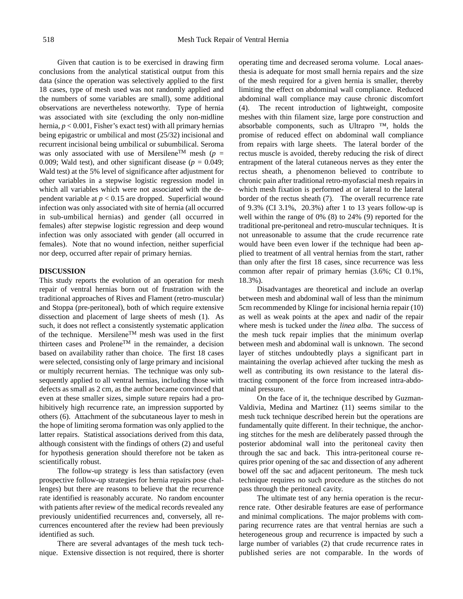Given that caution is to be exercised in drawing firm conclusions from the analytical statistical output from this data (since the operation was selectively applied to the first 18 cases, type of mesh used was not randomly applied and the numbers of some variables are small), some additional observations are nevertheless noteworthy. Type of hernia was associated with site (excluding the only non-midline hernia, *p* < 0.001, Fisher's exact test) with all primary hernias being epigastric or umbilical and most (25/32) incisional and recurrent incisional being umbilical or subumbilical. Seroma was only associated with use of Mersilene<sup>TM</sup> mesh ( $p =$ 0.009; Wald test), and other significant disease  $(p = 0.049)$ ; Wald test) at the 5% level of significance after adjustment for other variables in a stepwise logistic regression model in which all variables which were not associated with the dependent variable at *p* < 0.15 are dropped. Superficial wound infection was only associated with site of hernia (all occurred in sub-umbilical hernias) and gender (all occurred in females) after stepwise logistic regression and deep wound infection was only associated with gender (all occurred in females). Note that no wound infection, neither superficial nor deep, occurred after repair of primary hernias.

#### **DISCUSSION**

This study reports the evolution of an operation for mesh repair of ventral hernias born out of frustration with the traditional approaches of Rives and Flament (retro-muscular) and Stoppa (pre-peritoneal), both of which require extensive dissection and placement of large sheets of mesh (1). As such, it does not reflect a consistently systematic application of the technique. MersileneTM mesh was used in the first thirteen cases and Prolene™ in the remainder, a decision based on availability rather than choice. The first 18 cases were selected, consisting only of large primary and incisional or multiply recurrent hernias. The technique was only subsequently applied to all ventral hernias, including those with defects as small as 2 cm, as the author became convinced that even at these smaller sizes, simple suture repairs had a prohibitively high recurrence rate, an impression supported by others (6). Attachment of the subcutaneous layer to mesh in the hope of limiting seroma formation was only applied to the latter repairs. Statistical associations derived from this data, although consistent with the findings of others (2) and useful for hypothesis generation should therefore not be taken as scientifically robust.

The follow-up strategy is less than satisfactory (even prospective follow-up strategies for hernia repairs pose challenges) but there are reasons to believe that the recurrence rate identified is reasonably accurate. No random encounter with patients after review of the medical records revealed any previously unidentified recurrences and, conversely, all recurrences encountered after the review had been previously identified as such.

There are several advantages of the mesh tuck technique. Extensive dissection is not required, there is shorter operating time and decreased seroma volume. Local anaesthesia is adequate for most small hernia repairs and the size of the mesh required for a given hernia is smaller, thereby limiting the effect on abdominal wall compliance. Reduced abdominal wall compliance may cause chronic discomfort (4). The recent introduction of lightweight, composite meshes with thin filament size, large pore construction and absorbable components, such as Ultrapro ™, holds the promise of reduced effect on abdominal wall compliance from repairs with large sheets. The lateral border of the rectus muscle is avoided, thereby reducing the risk of direct entrapment of the lateral cutaneous nerves as they enter the rectus sheath, a phenomenon believed to contribute to chronic pain after traditional retro-myofascial mesh repairs in which mesh fixation is performed at or lateral to the lateral border of the rectus sheath (7). The overall recurrence rate of 9.3% (CI 3.1%, 20.3%) after 1 to 13 years follow-up is well within the range of 0% (8) to 24% (9) reported for the traditional pre-peritoneal and retro-muscular techniques. It is not unreasonable to assume that the crude recurrence rate would have been even lower if the technique had been applied to treatment of all ventral hernias from the start, rather than only after the first 18 cases, since recurrence was less common after repair of primary hernias (3.6%; CI 0.1%, 18.3%).

Disadvantages are theoretical and include an overlap between mesh and abdominal wall of less than the minimum 5cm recommended by Klinge for incisional hernia repair (10) as well as weak points at the apex and nadir of the repair where mesh is tucked under the *linea alba*. The success of the mesh tuck repair implies that the minimum overlap between mesh and abdominal wall is unknown. The second layer of stitches undoubtedly plays a significant part in maintaining the overlap achieved after tucking the mesh as well as contributing its own resistance to the lateral distracting component of the force from increased intra-abdominal pressure.

On the face of it, the technique described by Guzman-Valdivia, Medina and Martinez (11) seems similar to the mesh tuck technique described herein but the operations are fundamentally quite different. In their technique, the anchoring stitches for the mesh are deliberately passed through the posterior abdominal wall into the peritoneal cavity then through the sac and back. This intra-peritoneal course requires prior opening of the sac and dissection of any adherent bowel off the sac and adjacent peritoneum. The mesh tuck technique requires no such procedure as the stitches do not pass through the peritoneal cavity.

The ultimate test of any hernia operation is the recurrence rate. Other desirable features are ease of performance and minimal complications. The major problems with comparing recurrence rates are that ventral hernias are such a heterogeneous group and recurrence is impacted by such a large number of variables (2) that crude recurrence rates in published series are not comparable. In the words of